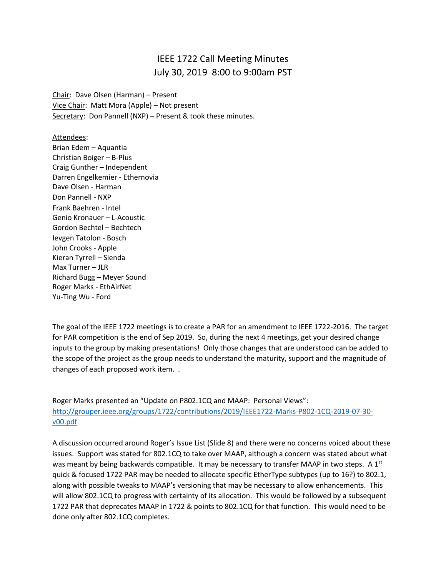## IEEE 1722 Call Meeting Minutes July 30, 2019 8:00 to 9:00am PST

Chair: Dave Olsen (Harman) – Present Vice Chair: Matt Mora (Apple) – Not present Secretary: Don Pannell (NXP) - Present & took these minutes.

Attendees:

Brian Edem – Aquantia Christian Boiger – B-Plus Craig Gunther – Independent Darren Engelkemier - Ethernovia Dave Olsen - Harman Don Pannell - NXP Frank Baehren - Intel Genio Kronauer – L-Acoustic Gordon Bechtel – Bechtech Ievgen Tatolon - Bosch John Crooks - Apple Kieran Tyrrell – Sienda Max Turner – JLR Richard Bugg – Meyer Sound Roger Marks - EthAirNet Yu-Ting Wu - Ford

The goal of the IEEE 1722 meetings is to create a PAR for an amendment to IEEE 1722-2016. The target for PAR competition is the end of Sep 2019. So, during the next 4 meetings, get your desired change inputs to the group by making presentations! Only those changes that are understood can be added to the scope of the project as the group needs to understand the maturity, support and the magnitude of changes of each proposed work item. .

Roger Marks presented an "Update on P802.1CQ and MAAP: Personal Views": [http://grouper.ieee.org/groups/1722/contributions/2019/IEEE1722-Marks-P802-1CQ-2019-07-30](http://grouper.ieee.org/groups/1722/contributions/2019/IEEE1722-Marks-P802-1CQ-2019-07-30-v00.pdf) [v00.pdf](http://grouper.ieee.org/groups/1722/contributions/2019/IEEE1722-Marks-P802-1CQ-2019-07-30-v00.pdf)

A discussion occurred around Roger's Issue List (Slide 8) and there were no concerns voiced about these issues. Support was stated for 802.1CQ to take over MAAP, although a concern was stated about what was meant by being backwards compatible. It may be necessary to transfer MAAP in two steps. A  $1^{st}$ quick & focused 1722 PAR may be needed to allocate specific EtherType subtypes (up to 16?) to 802.1, along with possible tweaks to MAAP's versioning that may be necessary to allow enhancements. This will allow 802.1CQ to progress with certainty of its allocation. This would be followed by a subsequent 1722 PAR that deprecates MAAP in 1722 & points to 802.1CQ for that function. This would need to be done only after 802.1CQ completes.